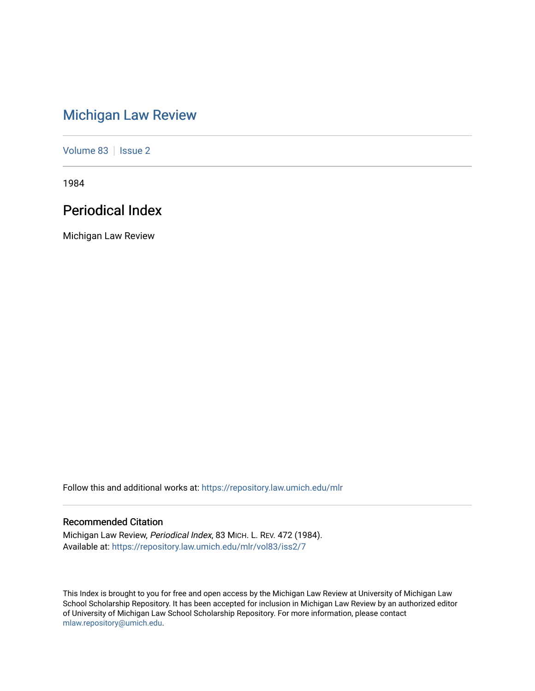# [Michigan Law Review](https://repository.law.umich.edu/mlr)

[Volume 83](https://repository.law.umich.edu/mlr/vol83) | [Issue 2](https://repository.law.umich.edu/mlr/vol83/iss2)

1984

# Periodical Index

Michigan Law Review

Follow this and additional works at: [https://repository.law.umich.edu/mlr](https://repository.law.umich.edu/mlr?utm_source=repository.law.umich.edu%2Fmlr%2Fvol83%2Fiss2%2F7&utm_medium=PDF&utm_campaign=PDFCoverPages) 

## Recommended Citation

Michigan Law Review, Periodical Index, 83 MICH. L. REV. 472 (1984). Available at: [https://repository.law.umich.edu/mlr/vol83/iss2/7](https://repository.law.umich.edu/mlr/vol83/iss2/7?utm_source=repository.law.umich.edu%2Fmlr%2Fvol83%2Fiss2%2F7&utm_medium=PDF&utm_campaign=PDFCoverPages)

This Index is brought to you for free and open access by the Michigan Law Review at University of Michigan Law School Scholarship Repository. It has been accepted for inclusion in Michigan Law Review by an authorized editor of University of Michigan Law School Scholarship Repository. For more information, please contact [mlaw.repository@umich.edu.](mailto:mlaw.repository@umich.edu)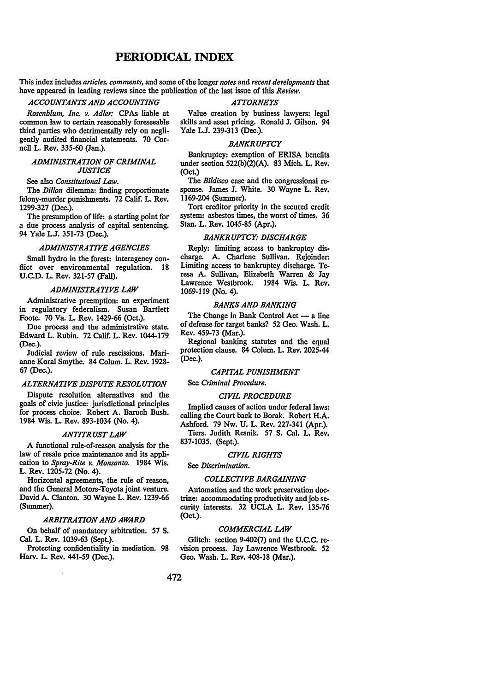### **PERIODICAL INDEX**

This index includes *articles, comments,* and some of the longer *notes* and *recent developments* that have appeared in leading reviews since the publication of the last issue of this *Review.* 

#### *ACCOUNTANTS AND ACCOUNTING ATTORNEYS*

*Rosenblum, Inc. v. Adler:* CPAs liable at common law to certain reasonably foreseeable third parties who detrimentally rely on negligently audited financial statements. 70 Cornell L. Rev. 335-60 (Jan.).

#### *ADMINISTRATION OF CRIMINAL JUSTICE*

See also *Constitutional Law.* 

The *Dillon* dilemma: finding proportionate felony-murder punishments. 72 Calif. L. Rev. 1299-327 (Dec.).

The presumption of life: a starting point for a due process analysis of capital sentencing. 94 Yale L.J. 351-73 (Dec.).

#### *ADMINISTRATIVE AGENCIES*

Small hydro in the forest: interagency conflict over environmental regulation. 18 U.C.D. L. Rev. 321-57 (Fall).

#### *ADMINISTRATIVE LAW*

Administrative preemption: an experiment in regulatory federalism. Susan Bartlett Foote. 70 Va. L. Rev. 1429-66 (Oct.).

Due process and the administrative state. Edward L. Rubin. 72 Calif. L. Rev. 1044-179 (Dec.).

Judicial review of rule rescissions. Marianne Koral Smythe. 84 Colum. L. Rev. 1928- 67 (Dec.).

#### *ALTERNATIVE DISPUTE RESOLUTION*

Dispute resolution alternatives and the goals of civic justice: jurisdictional principles for process choice. Robert A. Baruch Bush. 1984 Wis. L. Rev. 893-1034 (No. 4).

#### *ANTITRUST LAW*

A functional rule-of-reason analysis for the law of resale price maintenance and its application to *Spray-Rite v. Monsanto.* 1984 Wis. L. Rev. 1205-72 (No. 4).

Horizontal agreements, ·the rule of reason, and the General Motors-Toyota joint venture. David A. Clanton. 30 Wayne L. Rev. 1239-66 (Summer).

#### *ARBITRATION AND AWARD*

On behalf of mandatory arbitration. 57 S. Cal. L. Rev. 1039-63 (Sept.).

Protecting confidentiality in mediation. 98 Harv. L. Rev. 441-59 (Dec.).

Value creation by business lawyers: legal skills and asset pricing. Ronald J. Gilson. 94 Yale L.J. 239-313 (Dec.).

#### *BANKRUPTCY*

Bankruptcy: exemption of BRISA benefits under section 522(b)(2)(A). 83 Mich. L. Rev. (Oct.)

The *Bi/disco* case and the congressional response. James J. White. 30 Wayne L. Rev. 1169-204 (Summer).

Tort creditor priority in the secured credit system: asbestos times, the worst of times. 36 Stan. L. Rev. 1045-85 (Apr.).

#### *BANKRUPTCY: DISCHARGE*

Reply: limiting access to bankruptcy discharge. A. Charlene Sullivan. Rejoinder: Limiting access to bankruptcy discharge. Teresa A. Sullivan, Elizabeth Warren & Jay Lawrence Westbrook. 1984 Wis. L. Rev. 1069-119 (No. 4).

#### *BANKS AND BANKING*

The Change in Bank Control  $Act - a$  line of defense for target banks? 52 Geo. Wash. L. Rev. 459-73 (Mar.).

Regional banking statutes and the equal protection clause. 84 Colum. L. Rev. 2025-44 (Dec.).

#### *CAPITAL PUNISHMENT*

See *Criminal Procedure.* 

#### *CIVIL PROCEDURE*

Implied causes of action under federal laws: calling the Court back to Borak. Robert H.A. Ashford. 79 Nw. U. L. Rev. 227-341 (Apr.).

Tiers. Judith Resnik. 57 S. Cal. L. Rev. 837-1035. (Sept.).

#### *CIVIL RIGHTS*

See *Discrimination.* 

#### *COLLECTIVE BARGAINING*

Automation and the work preservation doctrine: accommodating productivity and job security interests. 32 UCLA L. Rev. 135-76 (Oct.).

#### *COMMERCIAL LAW*

Glitch: section 9-402(7) and the U.C.C. revision process. Jay Lawrence Westbrook. 52 Geo. Wash. L. Rev. 408-18 (Mar.).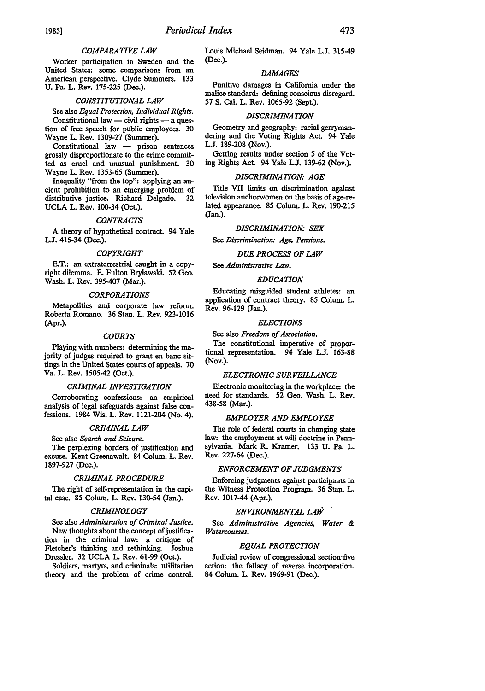#### *COMPARATIVE LAW*

Worker participation in Sweden and the United States: some comparisons from an American perspective. Clyde Summers. 133 U. Pa. L. Rev. 175-225 (Dec.).

#### *CONSTITUTIONAL LAW*

See also *Equal Protection, Individual Rights.*  Constitutional law - civil rights - a question of free speech for public employees. 30 Wayne L. Rev. 1309-27 (Summer).

Constitutional law - prison sentences grossly disproportionate to the crime committed as cruel and unusual punishment. 30 Wayne L. Rev. 1353-65 (Summer).

Inequality "from the top": applying an ancient prohibition to an emerging problem of distributive justice. Richard Delgado. 32 UCLA L. Rev. 100-34 (Oct.).

#### *CONTRACTS*

A theory of hypothetical contract. 94 Yale L.J. 415-34 (Dec.).

#### *COPYRIGHT*

E.T.: an extraterrestrial caught in a copyright dilemma. E. Fulton Brylawski. 52 Geo. Wash. L. Rev. 395-407 (Mar.).

#### *CORPORATIONS*

Metapolitics and corporate Jaw reform. Roberta Romano. 36 Stan. L. Rev. 923-1016 (Apr.).

#### *COURTS*

Playing with numbers: determining the majority of judges required to grant en bane sittings in the United States courts of appeals. 70 Va. L. Rev. 1505-42 (Oct.).

#### *CRIMINAL INVESTIGATION*

Corroborating confessions: an empirical analysis of legal safeguards against false confessions. 1984 Wis. L. Rev. 1121-204 (No. 4).

#### *CRIMINAL LAW*

See also *Search and Seizure.* 

The perplexing borders of justification and excuse. Kent Greenawalt. 84 Colum. L. Rev. 1897-927 (Dec.).

#### *CRIMINAL PROCEDURE*

The right of self-representation in the capital case. 85 Colum. L. Rev. 130-54 (Jan.).

#### *CRIMINOLOGY*

See also *Administration of Criminal Justice.*  New thoughts about the concept of justification in the criminal law: a critique of Fletcher's thinking and rethinking. Joshua Dressler. 32 UCLA L. Rev. 61-99 (Oct.).

Soldiers, martyrs, and criminals: utilitarian theory and the problem of crime control. Louis Michael Seidman. 94 Yale L.J. 315-49 (Dec.).

#### *DAMAGES*

Punitive damages in California under the malice standard: defining conscious disregard. 57 S. Cal. L. Rev. 1065-92 (Sept.).

#### *DISCRIMINATION*

Geometry and geography: racial gerrymandering and the Voting Rights Act. 94 Yale L.J. 189-208 (Nov.).

Getting results under section 5 of the Voting Rights Act. 94 Yale L.J. 139-62 (Nov.).

#### *DISCRIMINATION: AGE*

Title VII limits on discrimination against television anchorwomen on the basis of age-related appearance. 85 Colum. L. Rev. 190-215 (Jan.).

#### *DISCRIMINATION: SEX*

See *Discrimination: Age, Pensions.* 

#### *DUE PROCESS OF LAW*

See *Administrative Law.* 

#### *EDUCATION*

Educating misguided student athletes: an application of contract theory. 85 Colum. L. Rev. 96-129 (Jan.).

#### *ELECTIONS*

See also *Freedom of Association.* 

The constitutional imperative of proportional representation. 94 Yale L.J. 163-88 (Nov.).

#### *ELECTRONIC SURVEILLANCE*

Electronic monitoring in the workplace: the need for standards. 52 Geo. Wash. L. Rev. 438-58 (Mar.).

#### *EMPLOYER AND EMPLOYEE*

The role of federal courts in changing state law: the employment at will doctrine in Pennsylvania. Mark R. Kramer. 133 U. Pa. L. Rev. 227-64 (Dec.).

#### *ENFORCEMENT OF JUDGMENTS*

Enforcing judgments against participants in the Witness Protection Program. 36 Stan. L. Rev. 1017-44 (Apr.).

### *ENVIRONMENTAL LAW* ,

See *Administrative Agencies, Water* & *Watercourses.* 

#### *EQUAL PROTECTION*

Judicial review of congressional section-five action: the fallacy of reverse incorporation. 84 Colum. L. Rev. 1969-91 (Dec.).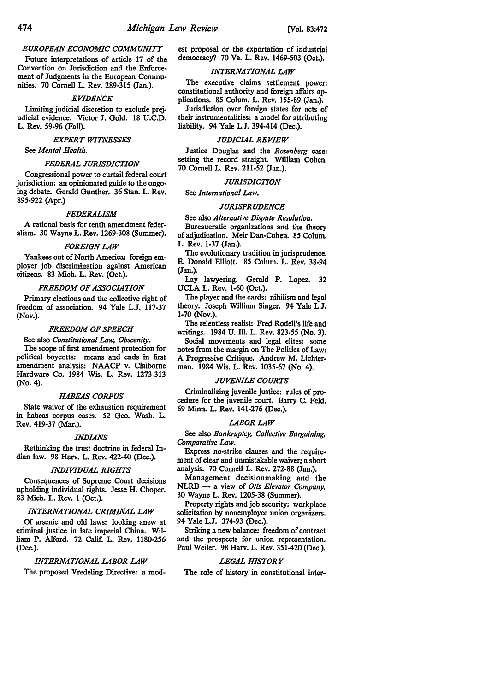#### *EUROPEAN ECONOMIC COMMUNITY*

Future interpretations of article 17 of the Convention on Jurisdiction and the Enforcement of Judgments in the European Communities. 70 Cornell L. Rev. 289-315 (Jan.).

#### *EVIDENCE*

Limiting judicial discretion to exclude prejudicial evidence. Victor J. Gold. 18 U.C.D. L. Rev. 59-96 (Fall).

#### *EXPERT WITNESSES*

See *Mental Health.* 

#### *FEDERAL JURISDICTION*

Congressional power to curtail federal court jurisdiction: an opinionated guide to the ongoing debate. Gerald Gunther. 36 Stan. L. Rev. 895-922 (Apr.)

#### *FEDERALISM*

A rational basis for tenth amendment federalism. 30 Wayne L. Rev. 1269-308 (Summer).

#### *FOREIGN LAW*

Yankees out of North America: foreign employer job discrimination against American citizens. 83 Mich. L. Rev. (Oct.).

#### *FREEDOM OF ASSOCIATION*

Primary elections and the collective right of freedom of association. 94 Yale L.J. 117-37 (Nov.).

#### *FREEDOM OF SPEECH*

#### See also *Constitutional Law, Obscenity.*

The scope of first amendment protection for political boycotts: means and ends in first amendment analysis: NAACP v. Claiborne Hardware Co. 1984 Wis. L. Rev. 1273-313 (No. 4).

#### *HABEAS CORPUS*

State waiver of the exhaustion requirement in habeas corpus cases. 52 Geo. Wash. L. Rev. 419-37 (Mar.).

#### *INDIANS*

Rethinking the trust doctrine in federal Indian law. 98 Harv. L. Rev. 422-40 (Dec.).

#### *INDIVIDUAL RIGHTS*

Consequences of Supreme Court decisions upholding individual rights. Jesse H. Choper. 83 Mich. L. Rev. 1 (Oct.).

#### *INTERNATIONAL CRIMINAL LAW*

Of arsenic and old laws: looking anew at criminal justice in late imperial China. William P. Alford. 72 Calif. L. Rev. 1180-256 (Dec.).

#### *INTERNATIONAL LABOR LAW*

The proposed Vredeling Directive: a mod-

est proposal or the exportation of industrial democracy? 70 Va. L. Rev. 1469-503 (Oct.).

#### *INTERNATIONAL LAW*

The executive claims settlement power: constitutional authority and foreign affairs applications. 85 Colum. L. Rev. 155-89 (Jan.).

Jurisdiction over foreign states for acts of their instrumentalities: a model for attributing liability. 94 Yale L.J. 394-414 (Dec.).

#### *JUDICIAL REVIEW*

Justice Douglas and the *Rosenberg* case: setting the record straight. William Cohen. 70 Cornell L. Rev. 211-52 (Jan.).

#### *JURISDICTION*

See *International Law.* 

#### *JURISPRUDENCE*

See also *Alternative Dispute Resolution.*  Bureaucratic organizations and the theory of adjudication. Meir Dan-Cohen. 85 Colum.

L. Rev. 1-37 (Jan.).

The evolutionary tradition in jurisprudence. E. Donald Elliott. 85 Colum. L. Rev. 38-94 (Jan.).

Lay lawyering. Gerald P. Lopez. 32 UCLA L. Rev. 1-60 (Oct.).

The player and the cards: nihilism and legal theory. Joseph William Singer. 94 Yale L.J. 1-70 (Nov.).

The relentless realist: Fred Rodell's life and writings. 1984 U. Ill. L. Rev. 823-55 (No. 3).

Social movements and legal elites: some notes from the margin on The Politics of Law: A Progressive Critique. Andrew M. Lichterman. 1984 Wis. L. Rev. 1035-67 (No. 4).

#### *JUVENILE COURTS*

Criminalizing juvenile justice: rules of procedure for the juvenile court. Barry C. Feld. 69 Minn. L. Rev. 141-276 (Dec.).

### *LABOR LAW*

See also *Bankruptcy, Collective Bargaining, Comparative Law.* 

Express no-strike clauses and the requirement of clear and unmistakable waiver; a short analysis. 70 Cornell L. Rev. 272-88 (Jan.).

Management decisionmaking and the NLRB - a view of *Otis Elevator Company.*  30 Wayne L. Rev. 1205-38 (Summer).

Property rights and job security: workplace solicitation by nonemployee union organizers. 94 Yale L.J. 374-93 (Dec.).

Striking a new balance: freedom of contract and the prospects for union representation. Paul Weiler. 98 Harv. L. Rev. 351-420 (Dec.).

#### *LEGAL HISTORY*

The role of history in constitutional inter-